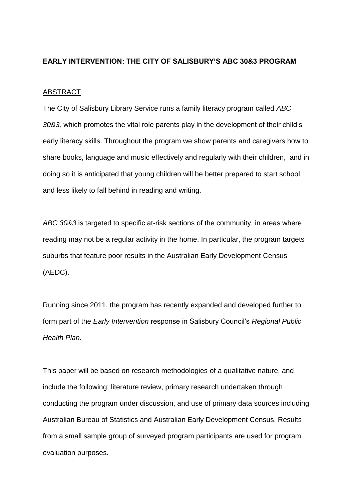### **EARLY INTERVENTION: THE CITY OF SALISBURY'S ABC 30&3 PROGRAM**

#### ABSTRACT

The City of Salisbury Library Service runs a family literacy program called *ABC 30&3,* which promotes the vital role parents play in the development of their child's early literacy skills. Throughout the program we show parents and caregivers how to share books, language and music effectively and regularly with their children, and in doing so it is anticipated that young children will be better prepared to start school and less likely to fall behind in reading and writing.

*ABC 30&3* is targeted to specific at-risk sections of the community, in areas where reading may not be a regular activity in the home. In particular, the program targets suburbs that feature poor results in the Australian Early Development Census (AEDC).

Running since 2011, the program has recently expanded and developed further to form part of the *Early Intervention* response in Salisbury Council's *Regional Public Health Plan.*

This paper will be based on research methodologies of a qualitative nature, and include the following: literature review, primary research undertaken through conducting the program under discussion, and use of primary data sources including Australian Bureau of Statistics and Australian Early Development Census. Results from a small sample group of surveyed program participants are used for program evaluation purposes.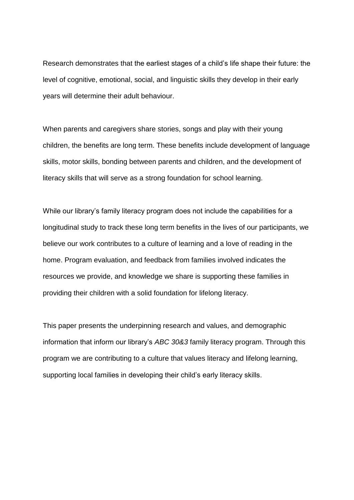Research demonstrates that the earliest stages of a child's life shape their future: the level of cognitive, emotional, social, and linguistic skills they develop in their early years will determine their adult behaviour.

When parents and caregivers share stories, songs and play with their young children, the benefits are long term. These benefits include development of language skills, motor skills, bonding between parents and children, and the development of literacy skills that will serve as a strong foundation for school learning.

While our library's family literacy program does not include the capabilities for a longitudinal study to track these long term benefits in the lives of our participants, we believe our work contributes to a culture of learning and a love of reading in the home. Program evaluation, and feedback from families involved indicates the resources we provide, and knowledge we share is supporting these families in providing their children with a solid foundation for lifelong literacy.

This paper presents the underpinning research and values, and demographic information that inform our library's *ABC 30&3* family literacy program. Through this program we are contributing to a culture that values literacy and lifelong learning, supporting local families in developing their child's early literacy skills.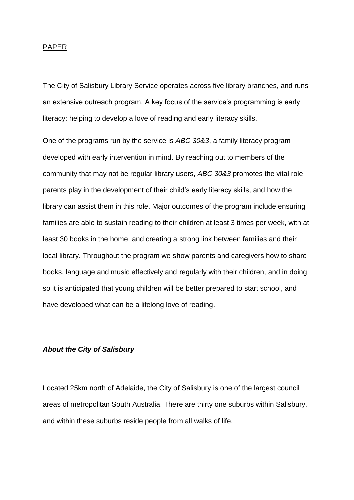#### PAPER

The City of Salisbury Library Service operates across five library branches, and runs an extensive outreach program. A key focus of the service's programming is early literacy: helping to develop a love of reading and early literacy skills.

One of the programs run by the service is *ABC 30&3*, a family literacy program developed with early intervention in mind. By reaching out to members of the community that may not be regular library users, *ABC 30&3* promotes the vital role parents play in the development of their child's early literacy skills, and how the library can assist them in this role. Major outcomes of the program include ensuring families are able to sustain reading to their children at least 3 times per week, with at least 30 books in the home, and creating a strong link between families and their local library. Throughout the program we show parents and caregivers how to share books, language and music effectively and regularly with their children, and in doing so it is anticipated that young children will be better prepared to start school, and have developed what can be a lifelong love of reading.

#### *About the City of Salisbury*

Located 25km north of Adelaide, the City of Salisbury is one of the largest council areas of metropolitan South Australia. There are thirty one suburbs within Salisbury, and within these suburbs reside people from all walks of life.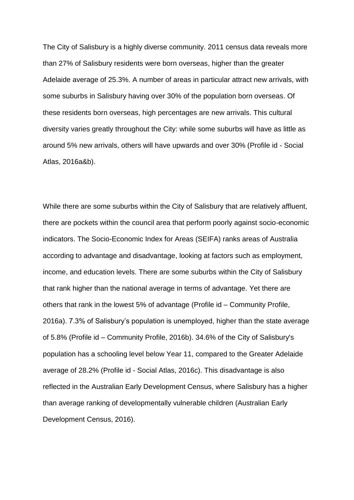The City of Salisbury is a highly diverse community. 2011 census data reveals more than 27% of Salisbury residents were born overseas, higher than the greater Adelaide average of 25.3%. A number of areas in particular attract new arrivals, with some suburbs in Salisbury having over 30% of the population born overseas. Of these residents born overseas, high percentages are new arrivals. This cultural diversity varies greatly throughout the City: while some suburbs will have as little as around 5% new arrivals, others will have upwards and over 30% (Profile id - Social Atlas, 2016a&b).

While there are some suburbs within the City of Salisbury that are relatively affluent, there are pockets within the council area that perform poorly against socio-economic indicators. The Socio-Economic Index for Areas (SEIFA) ranks areas of Australia according to advantage and disadvantage, looking at factors such as employment, income, and education levels. There are some suburbs within the City of Salisbury that rank higher than the national average in terms of advantage. Yet there are others that rank in the lowest 5% of advantage (Profile id – Community Profile, 2016a). 7.3% of Salisbury's population is unemployed, higher than the state average of 5.8% (Profile id – Community Profile, 2016b). 34.6% of the City of Salisbury's population has a schooling level below Year 11, compared to the Greater Adelaide average of 28.2% (Profile id - Social Atlas, 2016c). This disadvantage is also reflected in the Australian Early Development Census, where Salisbury has a higher than average ranking of developmentally vulnerable children (Australian Early Development Census, 2016).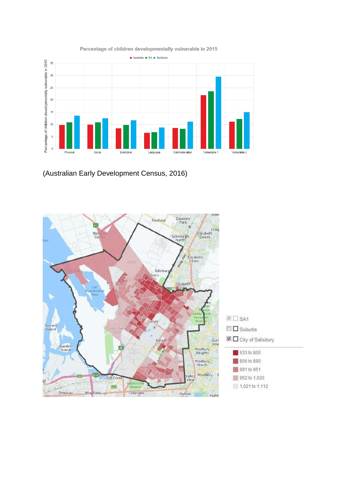

Percentage of children developmentally vulnerable in 2015

(Australian Early Development Census, 2016)

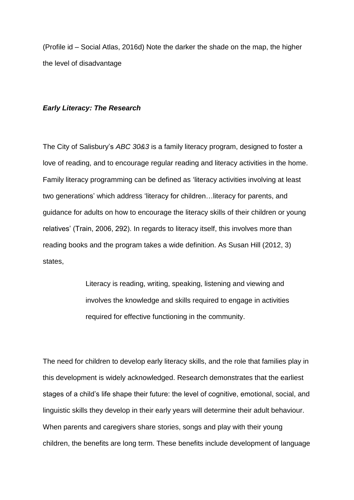(Profile id – Social Atlas, 2016d) Note the darker the shade on the map, the higher the level of disadvantage

#### *Early Literacy: The Research*

The City of Salisbury's *ABC 30&3* is a family literacy program, designed to foster a love of reading, and to encourage regular reading and literacy activities in the home. Family literacy programming can be defined as 'literacy activities involving at least two generations' which address 'literacy for children…literacy for parents, and guidance for adults on how to encourage the literacy skills of their children or young relatives' (Train, 2006, 292). In regards to literacy itself, this involves more than reading books and the program takes a wide definition. As Susan Hill (2012, 3) states,

> Literacy is reading, writing, speaking, listening and viewing and involves the knowledge and skills required to engage in activities required for effective functioning in the community.

The need for children to develop early literacy skills, and the role that families play in this development is widely acknowledged. Research demonstrates that the earliest stages of a child's life shape their future: the level of cognitive, emotional, social, and linguistic skills they develop in their early years will determine their adult behaviour. When parents and caregivers share stories, songs and play with their young children, the benefits are long term. These benefits include development of language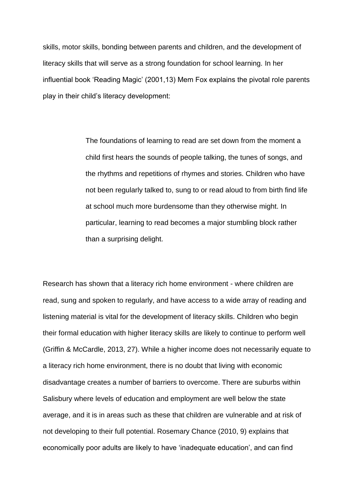skills, motor skills, bonding between parents and children, and the development of literacy skills that will serve as a strong foundation for school learning. In her influential book 'Reading Magic' (2001,13) Mem Fox explains the pivotal role parents play in their child's literacy development:

> The foundations of learning to read are set down from the moment a child first hears the sounds of people talking, the tunes of songs, and the rhythms and repetitions of rhymes and stories. Children who have not been regularly talked to, sung to or read aloud to from birth find life at school much more burdensome than they otherwise might. In particular, learning to read becomes a major stumbling block rather than a surprising delight.

Research has shown that a literacy rich home environment - where children are read, sung and spoken to regularly, and have access to a wide array of reading and listening material is vital for the development of literacy skills. Children who begin their formal education with higher literacy skills are likely to continue to perform well (Griffin & McCardle, 2013, 27). While a higher income does not necessarily equate to a literacy rich home environment, there is no doubt that living with economic disadvantage creates a number of barriers to overcome. There are suburbs within Salisbury where levels of education and employment are well below the state average, and it is in areas such as these that children are vulnerable and at risk of not developing to their full potential. Rosemary Chance (2010, 9) explains that economically poor adults are likely to have 'inadequate education', and can find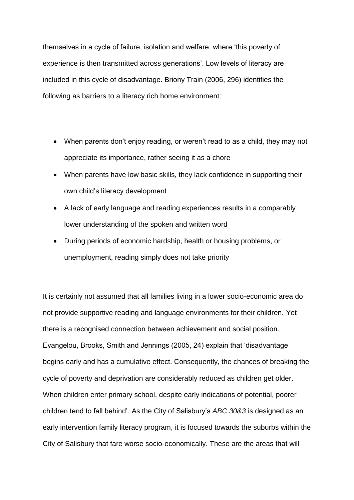themselves in a cycle of failure, isolation and welfare, where 'this poverty of experience is then transmitted across generations'. Low levels of literacy are included in this cycle of disadvantage. Briony Train (2006, 296) identifies the following as barriers to a literacy rich home environment:

- When parents don't enjoy reading, or weren't read to as a child, they may not appreciate its importance, rather seeing it as a chore
- When parents have low basic skills, they lack confidence in supporting their own child's literacy development
- A lack of early language and reading experiences results in a comparably lower understanding of the spoken and written word
- During periods of economic hardship, health or housing problems, or unemployment, reading simply does not take priority

It is certainly not assumed that all families living in a lower socio-economic area do not provide supportive reading and language environments for their children. Yet there is a recognised connection between achievement and social position. Evangelou, Brooks, Smith and Jennings (2005, 24) explain that 'disadvantage begins early and has a cumulative effect. Consequently, the chances of breaking the cycle of poverty and deprivation are considerably reduced as children get older. When children enter primary school, despite early indications of potential, poorer children tend to fall behind'. As the City of Salisbury's *ABC 30&3* is designed as an early intervention family literacy program, it is focused towards the suburbs within the City of Salisbury that fare worse socio-economically. These are the areas that will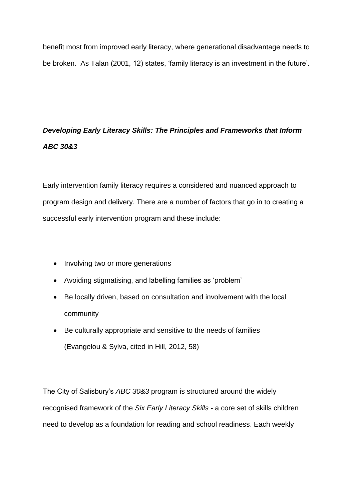benefit most from improved early literacy, where generational disadvantage needs to be broken. As Talan (2001, 12) states, 'family literacy is an investment in the future'.

# *Developing Early Literacy Skills: The Principles and Frameworks that Inform ABC 30&3*

Early intervention family literacy requires a considered and nuanced approach to program design and delivery. There are a number of factors that go in to creating a successful early intervention program and these include:

- Involving two or more generations
- Avoiding stigmatising, and labelling families as 'problem'
- Be locally driven, based on consultation and involvement with the local community
- Be culturally appropriate and sensitive to the needs of families (Evangelou & Sylva, cited in Hill, 2012, 58)

The City of Salisbury's *ABC 30&3* program is structured around the widely recognised framework of the *Six Early Literacy Skills -* a core set of skills children need to develop as a foundation for reading and school readiness. Each weekly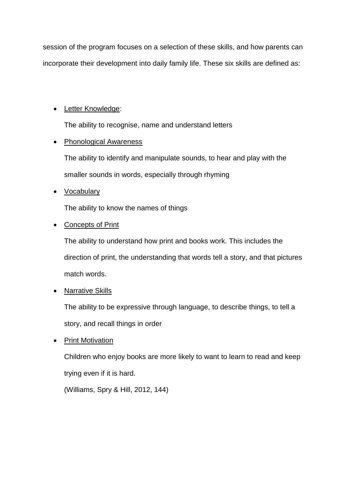session of the program focuses on a selection of these skills, and how parents can incorporate their development into daily family life. These six skills are defined as:

# • Letter Knowledge:

The ability to recognise, name and understand letters

# • Phonological Awareness

The ability to identify and manipulate sounds, to hear and play with the smaller sounds in words, especially through rhyming

# • Vocabulary

The ability to know the names of things

# • Concepts of Print

The ability to understand how print and books work. This includes the direction of print, the understanding that words tell a story, and that pictures match words.

# • Narrative Skills

The ability to be expressive through language, to describe things, to tell a story, and recall things in order

# • Print Motivation

Children who enjoy books are more likely to want to learn to read and keep trying even if it is hard.

(Williams, Spry & Hill, 2012, 144)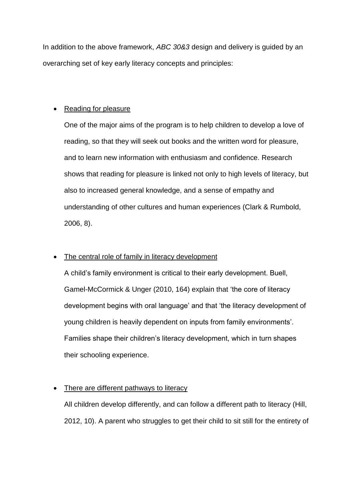In addition to the above framework, *ABC 30&3* design and delivery is guided by an overarching set of key early literacy concepts and principles:

## • Reading for pleasure

One of the major aims of the program is to help children to develop a love of reading, so that they will seek out books and the written word for pleasure, and to learn new information with enthusiasm and confidence. Research shows that reading for pleasure is linked not only to high levels of literacy, but also to increased general knowledge, and a sense of empathy and understanding of other cultures and human experiences (Clark & Rumbold, 2006, 8).

#### • The central role of family in literacy development

A child's family environment is critical to their early development. Buell, Gamel-McCormick & Unger (2010, 164) explain that 'the core of literacy development begins with oral language' and that 'the literacy development of young children is heavily dependent on inputs from family environments'. Families shape their children's literacy development, which in turn shapes their schooling experience.

## There are different pathways to literacy

All children develop differently, and can follow a different path to literacy (Hill, 2012, 10). A parent who struggles to get their child to sit still for the entirety of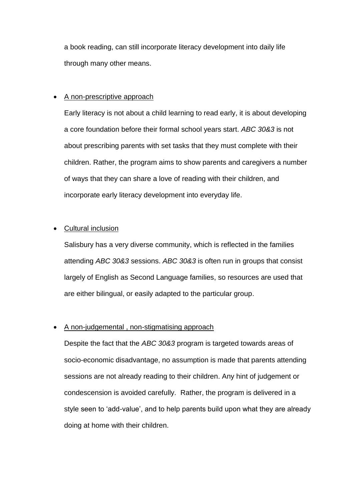a book reading, can still incorporate literacy development into daily life through many other means.

## • A non-prescriptive approach

Early literacy is not about a child learning to read early, it is about developing a core foundation before their formal school years start. *ABC 30&3* is not about prescribing parents with set tasks that they must complete with their children. Rather, the program aims to show parents and caregivers a number of ways that they can share a love of reading with their children, and incorporate early literacy development into everyday life.

## • Cultural inclusion

Salisbury has a very diverse community, which is reflected in the families attending *ABC 30&3* sessions. *ABC 30&3* is often run in groups that consist largely of English as Second Language families, so resources are used that are either bilingual, or easily adapted to the particular group.

## • A non-judgemental , non-stigmatising approach

Despite the fact that the *ABC 30&3* program is targeted towards areas of socio-economic disadvantage, no assumption is made that parents attending sessions are not already reading to their children. Any hint of judgement or condescension is avoided carefully. Rather, the program is delivered in a style seen to 'add-value', and to help parents build upon what they are already doing at home with their children.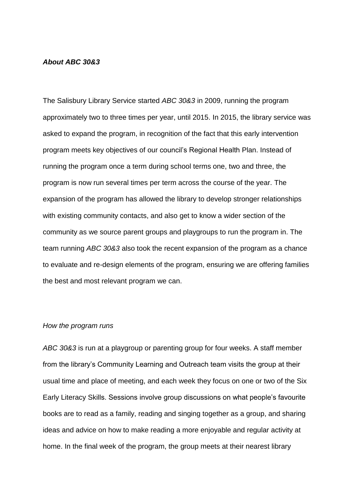#### *About ABC 30&3*

The Salisbury Library Service started *ABC 30&3* in 2009, running the program approximately two to three times per year, until 2015. In 2015, the library service was asked to expand the program, in recognition of the fact that this early intervention program meets key objectives of our council's Regional Health Plan. Instead of running the program once a term during school terms one, two and three, the program is now run several times per term across the course of the year. The expansion of the program has allowed the library to develop stronger relationships with existing community contacts, and also get to know a wider section of the community as we source parent groups and playgroups to run the program in. The team running *ABC 30&3* also took the recent expansion of the program as a chance to evaluate and re-design elements of the program, ensuring we are offering families the best and most relevant program we can.

#### *How the program runs*

*ABC 30&3* is run at a playgroup or parenting group for four weeks. A staff member from the library's Community Learning and Outreach team visits the group at their usual time and place of meeting, and each week they focus on one or two of the Six Early Literacy Skills. Sessions involve group discussions on what people's favourite books are to read as a family, reading and singing together as a group, and sharing ideas and advice on how to make reading a more enjoyable and regular activity at home. In the final week of the program, the group meets at their nearest library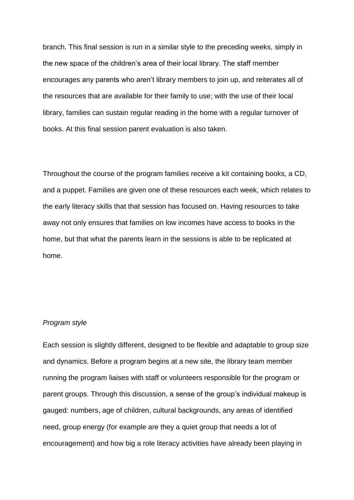branch. This final session is run in a similar style to the preceding weeks, simply in the new space of the children's area of their local library. The staff member encourages any parents who aren't library members to join up, and reiterates all of the resources that are available for their family to use; with the use of their local library, families can sustain regular reading in the home with a regular turnover of books. At this final session parent evaluation is also taken.

Throughout the course of the program families receive a kit containing books, a CD, and a puppet. Families are given one of these resources each week, which relates to the early literacy skills that that session has focused on. Having resources to take away not only ensures that families on low incomes have access to books in the home, but that what the parents learn in the sessions is able to be replicated at home.

#### *Program style*

Each session is slightly different, designed to be flexible and adaptable to group size and dynamics. Before a program begins at a new site, the library team member running the program liaises with staff or volunteers responsible for the program or parent groups. Through this discussion, a sense of the group's individual makeup is gauged: numbers, age of children, cultural backgrounds, any areas of identified need, group energy (for example are they a quiet group that needs a lot of encouragement) and how big a role literacy activities have already been playing in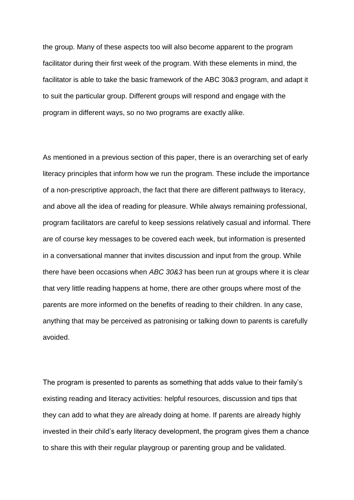the group. Many of these aspects too will also become apparent to the program facilitator during their first week of the program. With these elements in mind, the facilitator is able to take the basic framework of the ABC 30&3 program, and adapt it to suit the particular group. Different groups will respond and engage with the program in different ways, so no two programs are exactly alike.

As mentioned in a previous section of this paper, there is an overarching set of early literacy principles that inform how we run the program. These include the importance of a non-prescriptive approach, the fact that there are different pathways to literacy, and above all the idea of reading for pleasure. While always remaining professional, program facilitators are careful to keep sessions relatively casual and informal. There are of course key messages to be covered each week, but information is presented in a conversational manner that invites discussion and input from the group. While there have been occasions when *ABC 30&3* has been run at groups where it is clear that very little reading happens at home, there are other groups where most of the parents are more informed on the benefits of reading to their children. In any case, anything that may be perceived as patronising or talking down to parents is carefully avoided.

The program is presented to parents as something that adds value to their family's existing reading and literacy activities: helpful resources, discussion and tips that they can add to what they are already doing at home. If parents are already highly invested in their child's early literacy development, the program gives them a chance to share this with their regular playgroup or parenting group and be validated.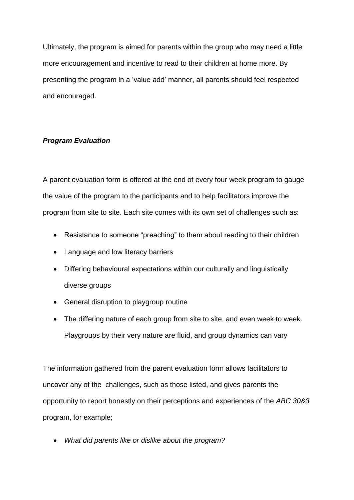Ultimately, the program is aimed for parents within the group who may need a little more encouragement and incentive to read to their children at home more. By presenting the program in a 'value add' manner, all parents should feel respected and encouraged.

## *Program Evaluation*

A parent evaluation form is offered at the end of every four week program to gauge the value of the program to the participants and to help facilitators improve the program from site to site. Each site comes with its own set of challenges such as:

- Resistance to someone "preaching" to them about reading to their children
- Language and low literacy barriers
- Differing behavioural expectations within our culturally and linguistically diverse groups
- General disruption to playgroup routine
- The differing nature of each group from site to site, and even week to week. Playgroups by their very nature are fluid, and group dynamics can vary

The information gathered from the parent evaluation form allows facilitators to uncover any of the challenges, such as those listed, and gives parents the opportunity to report honestly on their perceptions and experiences of the *ABC 30&3* program, for example;

• *What did parents like or dislike about the program?*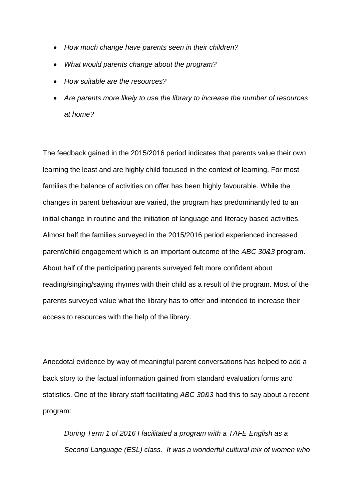- *How much change have parents seen in their children?*
- *What would parents change about the program?*
- *How suitable are the resources?*
- *Are parents more likely to use the library to increase the number of resources at home?*

The feedback gained in the 2015/2016 period indicates that parents value their own learning the least and are highly child focused in the context of learning. For most families the balance of activities on offer has been highly favourable. While the changes in parent behaviour are varied, the program has predominantly led to an initial change in routine and the initiation of language and literacy based activities. Almost half the families surveyed in the 2015/2016 period experienced increased parent/child engagement which is an important outcome of the *ABC 30&3* program. About half of the participating parents surveyed felt more confident about reading/singing/saying rhymes with their child as a result of the program. Most of the parents surveyed value what the library has to offer and intended to increase their access to resources with the help of the library.

Anecdotal evidence by way of meaningful parent conversations has helped to add a back story to the factual information gained from standard evaluation forms and statistics. One of the library staff facilitating *ABC 30&3* had this to say about a recent program:

*During Term 1 of 2016 I facilitated a program with a TAFE English as a Second Language (ESL) class. It was a wonderful cultural mix of women who*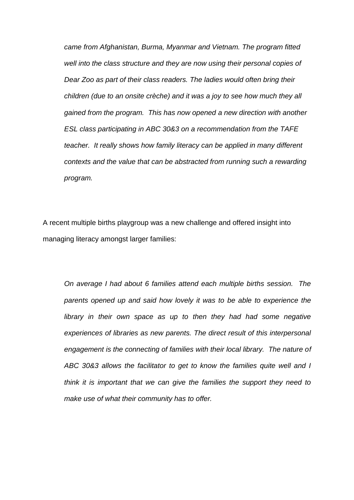*came from Afghanistan, Burma, Myanmar and Vietnam. The program fitted well into the class structure and they are now using their personal copies of Dear Zoo as part of their class readers. The ladies would often bring their children (due to an onsite crèche) and it was a joy to see how much they all gained from the program. This has now opened a new direction with another ESL class participating in ABC 30&3 on a recommendation from the TAFE teacher. It really shows how family literacy can be applied in many different contexts and the value that can be abstracted from running such a rewarding program.*

A recent multiple births playgroup was a new challenge and offered insight into managing literacy amongst larger families:

*On average I had about 6 families attend each multiple births session. The parents opened up and said how lovely it was to be able to experience the library in their own space as up to then they had had some negative experiences of libraries as new parents. The direct result of this interpersonal engagement is the connecting of families with their local library. The nature of ABC 30&3 allows the facilitator to get to know the families quite well and I think it is important that we can give the families the support they need to make use of what their community has to offer.*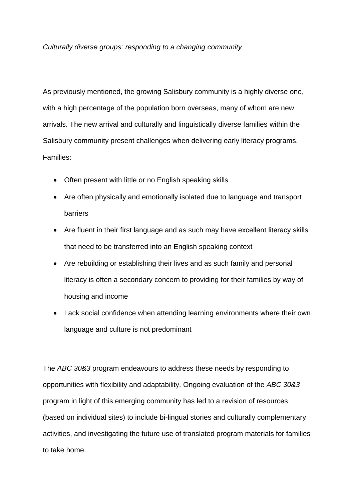#### *Culturally diverse groups: responding to a changing community*

As previously mentioned, the growing Salisbury community is a highly diverse one, with a high percentage of the population born overseas, many of whom are new arrivals. The new arrival and culturally and linguistically diverse families within the Salisbury community present challenges when delivering early literacy programs. Families:

- Often present with little or no English speaking skills
- Are often physically and emotionally isolated due to language and transport barriers
- Are fluent in their first language and as such may have excellent literacy skills that need to be transferred into an English speaking context
- Are rebuilding or establishing their lives and as such family and personal literacy is often a secondary concern to providing for their families by way of housing and income
- Lack social confidence when attending learning environments where their own language and culture is not predominant

The *ABC 30&3* program endeavours to address these needs by responding to opportunities with flexibility and adaptability. Ongoing evaluation of the *ABC 30&3* program in light of this emerging community has led to a revision of resources (based on individual sites) to include bi-lingual stories and culturally complementary activities, and investigating the future use of translated program materials for families to take home.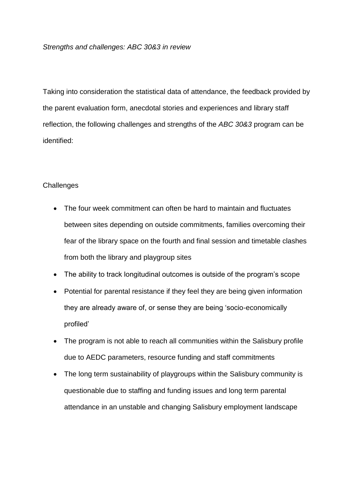Taking into consideration the statistical data of attendance, the feedback provided by the parent evaluation form, anecdotal stories and experiences and library staff reflection, the following challenges and strengths of the *ABC 30&3* program can be identified:

## **Challenges**

- The four week commitment can often be hard to maintain and fluctuates between sites depending on outside commitments, families overcoming their fear of the library space on the fourth and final session and timetable clashes from both the library and playgroup sites
- The ability to track longitudinal outcomes is outside of the program's scope
- Potential for parental resistance if they feel they are being given information they are already aware of, or sense they are being 'socio-economically profiled'
- The program is not able to reach all communities within the Salisbury profile due to AEDC parameters, resource funding and staff commitments
- The long term sustainability of playgroups within the Salisbury community is questionable due to staffing and funding issues and long term parental attendance in an unstable and changing Salisbury employment landscape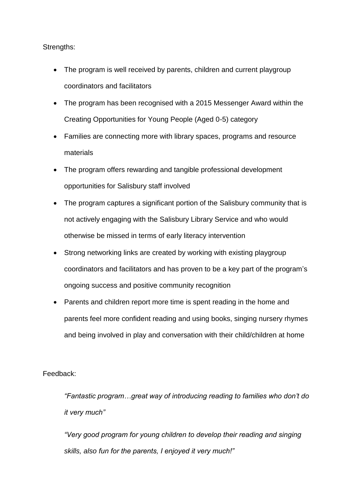### Strengths:

- The program is well received by parents, children and current playgroup coordinators and facilitators
- The program has been recognised with a 2015 Messenger Award within the Creating Opportunities for Young People (Aged 0-5) category
- Families are connecting more with library spaces, programs and resource materials
- The program offers rewarding and tangible professional development opportunities for Salisbury staff involved
- The program captures a significant portion of the Salisbury community that is not actively engaging with the Salisbury Library Service and who would otherwise be missed in terms of early literacy intervention
- Strong networking links are created by working with existing playgroup coordinators and facilitators and has proven to be a key part of the program's ongoing success and positive community recognition
- Parents and children report more time is spent reading in the home and parents feel more confident reading and using books, singing nursery rhymes and being involved in play and conversation with their child/children at home

## Feedback:

*"Fantastic program…great way of introducing reading to families who don't do it very much"*

*"Very good program for young children to develop their reading and singing skills, also fun for the parents, I enjoyed it very much!"*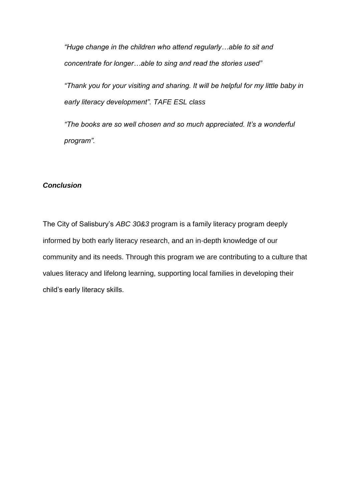*"Huge change in the children who attend regularly…able to sit and concentrate for longer…able to sing and read the stories used"*

*"Thank you for your visiting and sharing. It will be helpful for my little baby in early literacy development". TAFE ESL class*

*"The books are so well chosen and so much appreciated. It's a wonderful program".*

#### *Conclusion*

The City of Salisbury's *ABC 30&3* program is a family literacy program deeply informed by both early literacy research, and an in-depth knowledge of our community and its needs. Through this program we are contributing to a culture that values literacy and lifelong learning, supporting local families in developing their child's early literacy skills.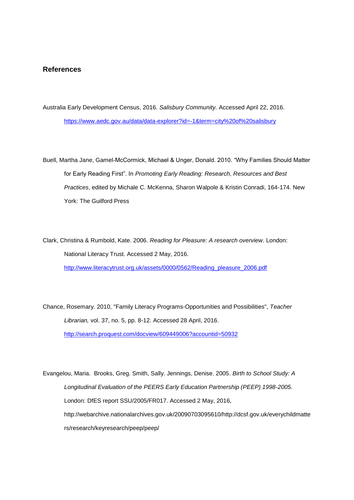#### **References**

Australia Early Development Census, 2016. *Salisbury Community.* Accessed April 22, 2016. <https://www.aedc.gov.au/data/data-explorer?id=-1&term=city%20of%20salisbury>

Buell, Martha Jane, Gamel-McCormick, Michael & Unger, Donald. 2010. "Why Families Should Matter for Early Reading First". In *Promoting Early Reading: Research, Resources and Best Practices*, edited by Michale C. McKenna, Sharon Walpole & Kristin Conradi, 164-174. New York: The Guilford Press

Clark, Christina & Rumbold, Kate. 2006. *Reading for Pleasure: A research overview*. London: National Literacy Trust. Accessed 2 May, 2016. [http://www.literacytrust.org.uk/assets/0000/0562/Reading\\_pleasure\\_2006.pdf](http://www.literacytrust.org.uk/assets/0000/0562/Reading_pleasure_2006.pdf)

Chance, Rosemary. 2010, "Family Literacy Programs-Opportunities and Possibilities", *Teacher Librarian,* vol. 37, no. 5, pp. 8-12. Accessed 28 April, 2016. <http://search.proquest.com/docview/609449006?accountid=50932>

Evangelou, Maria. Brooks, Greg. Smith, Sally. Jennings, Denise. 2005. *Birth to School Study: A Longitudinal Evaluation of the PEERS Early Education Partnership (PEEP) 1998-2005*. London: DfES report SSU/2005/FR017. Accessed 2 May, 2016, http://webarchive.nationalarchives.gov.uk/20090703095610/http://dcsf.gov.uk/everychildmatte rs/research/keyresearch/peep/peep/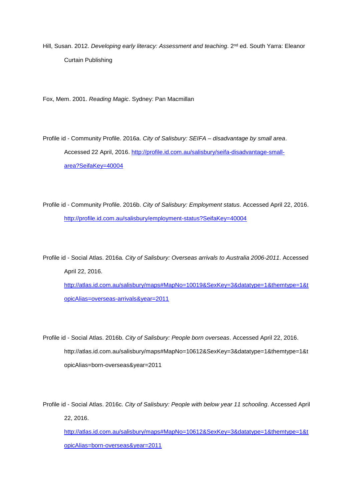Hill, Susan. 2012. *Developing early literacy: Assessment and teaching*. 2<sup>nd</sup> ed. South Yarra: Eleanor Curtain Publishing

Fox, Mem. 2001. *Reading Magic*. Sydney: Pan Macmillan

Profile id - Community Profile. 2016a. *City of Salisbury: SEIFA – disadvantage by small area*. Accessed 22 April, 2016. [http://profile.id.com.au/salisbury/seifa-disadvantage-small](http://profile.id.com.au/salisbury/seifa-disadvantage-small-area?SeifaKey=40004)[area?SeifaKey=40004](http://profile.id.com.au/salisbury/seifa-disadvantage-small-area?SeifaKey=40004)

Profile id - Community Profile. 2016b. *City of Salisbury: Employment status.* Accessed April 22, 2016. <http://profile.id.com.au/salisbury/employment-status?SeifaKey=40004>

Profile id - Social Atlas. 2016a*. City of Salisbury: Overseas arrivals to Australia 2006-2011*. Accessed April 22, 2016. [http://atlas.id.com.au/salisbury/maps#MapNo=10019&SexKey=3&datatype=1&themtype=1&t](http://atlas.id.com.au/salisbury/maps#MapNo=10019&SexKey=3&datatype=1&themtype=1&topicAlias=overseas-arrivals&year=2011) [opicAlias=overseas-arrivals&year=2011](http://atlas.id.com.au/salisbury/maps#MapNo=10019&SexKey=3&datatype=1&themtype=1&topicAlias=overseas-arrivals&year=2011)

Profile id - Social Atlas. 2016b. *City of Salisbury: People born overseas*. Accessed April 22, 2016. http://atlas.id.com.au/salisbury/maps#MapNo=10612&SexKey=3&datatype=1&themtype=1&t opicAlias=born-overseas&year=2011

Profile id - Social Atlas. 2016c. *City of Salisbury: People with below year 11 schooling*. Accessed April 22, 2016. [http://atlas.id.com.au/salisbury/maps#MapNo=10612&SexKey=3&datatype=1&themtype=1&t](http://atlas.id.com.au/salisbury/maps#MapNo=10612&SexKey=3&datatype=1&themtype=1&topicAlias=born-overseas&year=2011)

[opicAlias=born-overseas&year=2011](http://atlas.id.com.au/salisbury/maps#MapNo=10612&SexKey=3&datatype=1&themtype=1&topicAlias=born-overseas&year=2011)